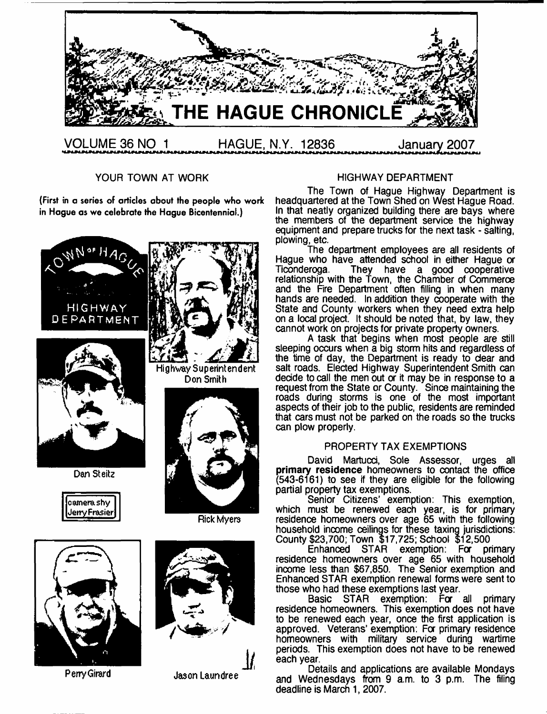

YOUR TOWN AT WORK

**(First in a series of articles about the people who work in Hague as we celebrate the Hague Bicentennial.)**









**Perry Girard** Jason Laundree **j /**

#### HIGHWAY DEPARTMENT

The Town of Hague Highway Department is headquartered at the Town Shed on West Hague Road. In that neatly organized building there are bays where the members of the department service the highway equipment and prepare trucks for the next task - salting. plowing, etc.

The department employees are all residents of Hague who have attended school in either Hague or<br>Ticonderoga. They have a good cooperative They have a good cooperative relationship with the Town, the Chamber of Commerce and the Fire Department often filling in when many hands are needed. In addition they cooperate with the State and County workers when they need extra help on a local project. It should be noted that, by law, they cannot work on projects for private property owners.

A task that begins when most people are still sleeping occurs when a big storm hits and regardless of the time of day, the Department is ready to dear and salt roads. Elected Highway Superintendent Smith can decide to call the men out or it may be in response to a request from the State or County. Since maintaining the roads during storms is one of the most important aspects of their job to the public, residents are reminded that cars must not be parked on the roads so the trucks can plow properly.

#### PROPERTY TAX EXEMPTIONS

David Martucci, Sole Assessor, urges all primary residence homeowners to contact the office (543-6161) to see if they are eligible for the following partial property tax exemptions.

Senior Citizens' exemption: This exemption, which must be renewed each year, is for primary residence homeowners over age 65 with the following household income ceilings for these taxing jurisdictions: County \$23,700; Town \$17,725; School \$12,500

Enhanced STAR exemption: For primary residence homeowners over age 65 with household income less than \$67,850. The Senior exemption and Enhanced STAR exemption renewal forms were sent to those who had these exemptions last year.

Basic STAR exemption: For all primary residence homeowners. This exemption does not have to be renewed each year, once the first application is approved. Veterans' exemption: For primary residence homeowners with military service during wartime periods. This exemption does not have to be renewed each year.

Details and applications are available Mondays and Wednesdays from 9 am. to 3 p.m. The filing deadline is March 1,2007.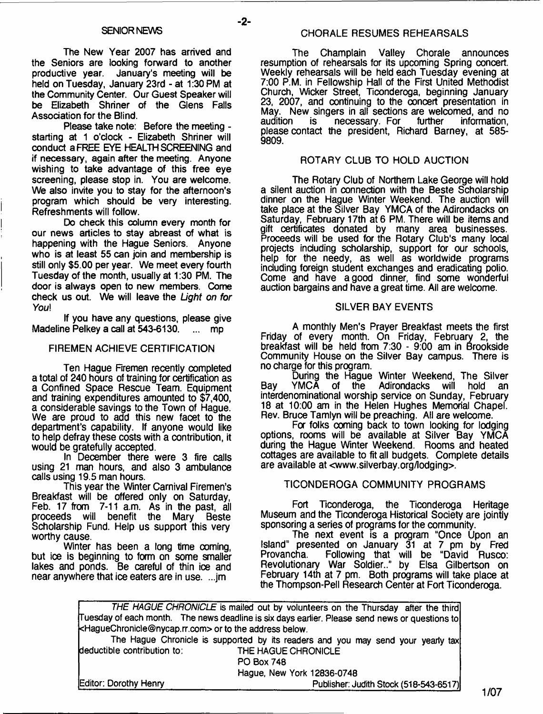- **2**-

The New Year 2007 has arrived and the Seniors are looking forward to another productive year. January's meeting will be held on Tuesday, January 23rd - at 1:30 PM at the Community Center. Our Guest Speaker will be Elizabeth Shriner of the Glens Falls Association for the Blind.

Please take note: Before the meeting starting at 1 o'clock - Elizabeth Shriner will conduct a FREE EYE HEALTH SCREENING and if necessary, again after the meeting. Anyone wishing to take advantage of this free eye screening, please stop in. You are welcome. We also invite you to stay for the afternoon's program which should be very interesting. Refreshments will follow.

Do check this column every month for our news articles to stay abreast of what is happening with the Hague Seniors. Anyone who is at least 55 can join and membership is still only \$5.00 per year. We meet every fourth Tuesday of the month, usually at 1:30 PM. The door is always open to new members. Come check us out. We will leave the *Light on for You\*

If you have any questions, please give Madeline Pelkey a call at 543-6130. ... mp

#### FIREMEN ACHIEVE CERTIFICATION

Ten Hague Firemen recently completed a total of 240 hours of training for certification as a Confined Space Rescue Team. Equipment and training expenditures amounted to \$7,400, a considerable savings to the Town of Hague. We are proud to add this new facet to the department's capability. If anyone would like to help defray these costs with a contribution, it would be gratefully accepted.

In December there were 3 fire calls using 21 man hours, and also 3 ambulance calls using 19.5 man hours.

This year the Winter Carnival Firemen's Breakfast will be offered only on Saturday, Feb. 17 from 7-11 a.m. As in the past, all proceeds will benefit the Mary Beste Scholarship Fund. Help us support this very worthy cause.

Winter has been a long time coming, but ice is beginning to form on some smaller lakes and ponds. Be careful of thin ice and near anywhere that ice eaters are in use. ...jm

The Champlain Valley Chorale announces resumption of rehearsals for its upcoming Spring concert. Weekly rehearsals will be held each Tuesday evening at 7:00 P.M. in Fellowship Hall of the First United Methodist Church, Wicker Street, Ticonderoga, beginning January 23, 2007, and continuing to the concert presentation in May. New singers in all sections are welcomed, and no necessary. For please contact the president, Richard Barney, at 585- 9809.

#### ROTARY CLUB TO HOLD AUCTION

The Rotary Club of Northern Lake George will hold a silent auction in connection with the Beste Scholarship dinner on the Hague Winter Weekend. The auction will take place at the Silver Bay YMCA of the Adirondacks on Saturday, February 17th at 6 PM. There will be items and gift certificates donated by many area businesses. Proceeds will be used for the Rotary Club's many local projects including scholarship, support for our schools, help for the needy, as well as worldwide programs including foreign student exchanges and eradicating polio. Come and have a good dinner, find some wonderful auction bargains and have a great time. All are welcome.

#### SILVER BAY EVENTS

A monthly Men's Prayer Breakfast meets the first Friday of every month. On Friday, February 2, the breakfast will be held from 7:30 - 9:00 am in Brookside Community House on the Silver Bay campus. There is no charge for this program.

During the Hague Winter Weekend, The Silver<br>YMCA of the Adirondacks will hold an Bay YMCA of the Adirondacks will hold an interdenominational worship service on Sunday, February 18 at 10:00 am in the Helen Hughes Memorial Chapel. Rev. Bruce Tamlyn will be preaching. All are welcome.

Fa folks coming back to town looking for lodging options, rooms will be available at Silver Bay YMCA during the Hague Winter Weekend. Rooms and heated cottages are available to fit all budgets. Complete details are available at [<www.silverbay.org/lodging>](http://www.silverbay.org/lodging).

#### TICONDEROGA COMMUNITY PROGRAMS

Fort Ticonderoga, the Ticonderoga Heritage Museum and the Ticonderoga Historical Society are jointly sponsoring a series of programs for the community.

The next event is a program "Once Upon an Island" presented on January 31 at 7 pm by Fred Following that will be "David Rusco: Revolutionary War Soldier.." by Elsa Gilbertson on February 14th at 7 pm. Both programs will take place at the Thompson-Pell Research Center at Fort Ticonderoga.

| <b>Editor: Dorothy Henry</b>                                                         | Publisher: Judith Stock (518-543-6517)                                                         |
|--------------------------------------------------------------------------------------|------------------------------------------------------------------------------------------------|
|                                                                                      | Hague, New York 12836-0748                                                                     |
|                                                                                      | <b>PO Box 748</b>                                                                              |
| deductible contribution to:                                                          | THE HAGUE CHRONICLE                                                                            |
|                                                                                      | The Hague Chronicle is supported by its readers and you may send your yearly tax               |
|                                                                                      |                                                                                                |
| <haguechronicle@nycap.rr.com> or to the address below.</haguechronicle@nycap.rr.com> |                                                                                                |
|                                                                                      | Tuesday of each month. The news deadline is six days earlier. Please send news or questions to |
|                                                                                      | THE HAGUE CHRONICLE is mailed out by volunteers on the Thursday after the third                |
|                                                                                      |                                                                                                |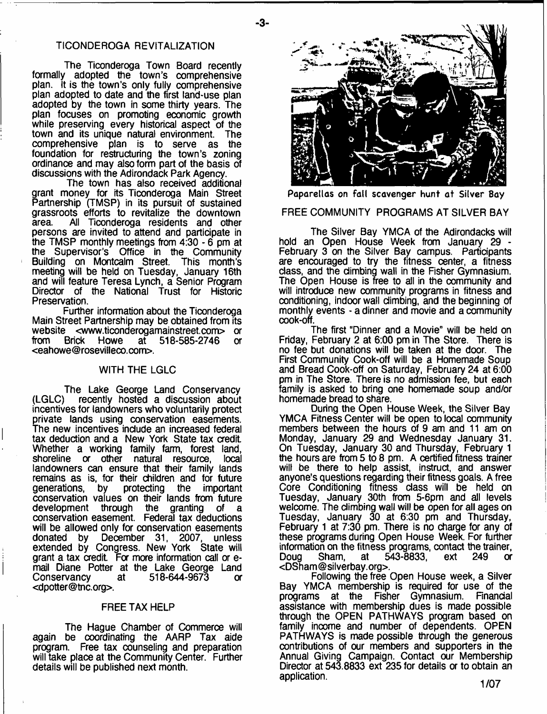#### TICONDEROGA REVITALIZATION

-3-

The Ticonderoga Town Board recently formally adopted the town's comprehensive plan. It is the town's only fully comprehensive plan adopted to date and the first land-use plan adopted by the town in some thirty years. The plan focuses on promoting economic growth while preserving every historical aspect of the town and its unique natural environment. The comprehensive plan is to serve as the foundation for restructuring the town's zoning ordinance and may also form part of the basis of discussions with the Adirondack Park Agency.

The town has also received additional grant money for its Ticonderoga Main Street Partnership (TMSP) in its pursuit of sustained grassroots efforts to revitalize the downtown<br>area. All Ticonderoga residents and other All Ticonderoga residents and other persons are invited to attend and participate in the TMSP monthly meetings from 4:30 - 6 pm at the Supervisor's Office in the Community Building on Montcalm Street. This month's meeting will be held on Tuesday, January 16th and will feature Teresa Lynch, a Senior Program Director of the National Trust for Historic Preservation.

Further information about the Ticonderoga Main Street Partnership may be obtained from its website [<www.ticonderogamainstreet.com](http://www.ticonderogamainstreet.com)> or<br>from Brick Howe at 518-585-2746 or at  $518-585-2746$ <[eahowe@rosevilleco.com](mailto:eahowe@rosevilleco.com)>.

#### WITH THE LGLC

The Lake George Land Conservancy<br>LGLC) recently hosted a discussion about recently hosted a discussion about incentives for landowners who voluntarily protect private lands using conservation easements. The new incentives include an increased federal tax deduction and a New York State tax credit Whether a working family farm, forest land,<br>shoreline or other natural resource, local shoreline or other natural resource, landowners can ensure that their family lands remains as is, for their children and for future<br>generations, by protecting the important protecting the conservation values on their lands from future development through the granting of a the granting of a conservation easement. Federal tax deductions will be allowed only for conservation easements donated by December 31, 2007, unless extended by Congress. New York State will grant a tax credit. For more information call or email Diane Potter at the Lake George Land<br>Conservancy at 518-644-9673 or Conservancy at 518-644-9673 or [<dpotter@tnc.org](mailto:dpotter@tnc.org)>.

#### FREE TAX HELP

The Hague Chamber of Commerce will again be coordinating the AARP Tax aide program. Free tax counseling and preparation will take place at the Community Center. Further details will be published next month.



**Paparellas on fall scavenger hunt at Silver Bay**

#### FREE COMMUNITY PROGRAMS AT SILVER BAY

The Silver Bay YMCA of the Adirondacks will hold an Open House Week from January 29 - February 3 on the Silver Bay campus. Participants are encouraged to try the fitness center, a fitness class, and the climbing wall in the Fisher Gymnasium. The Open House is free to all in the community and will introduce new community programs in fitness and conditioning, indoor wall climbing, and the beginning of monthly events - a dinner and movie and a community cook-off.

The first "Dinner and a Movie" will be held on Friday, February 2 at 6:00 pm in The Store. There is no fee but donations will be taken at the door. The First Community Cook-off will be a Homemade Soup and Bread Cook-off on Saturday, February 24 at 6:00 pm in The Store. There is no admission fee, but each family is asked to bring one homemade soup and/or homemade bread to share.

During the Open House Week, the Silver Bay YMCA Fitness Center will be open to local community members between the hours of 9 am and 11 am on Monday, January 29 and Wednesday January 31. On Tuesday, January 30 and Thursday, February 1 the hours are from 5 to 8 pm. A certified fitness trainer will be there to help assist, instruct, and answer anyone's questions regarding their fitness goals. A free Core Conditioning fitness class will be held on Tuesday, January 30th from 5-6pm and all levels welcome. The climbing wall will be open for all ages on Tuesday, January 30 at 6:30 pm and Thursday, February 1 at 7:30 pm. There is no charge for any of these programs during Open House Week. For further information on the fitness programs, contact the trainer,<br>Doug Sham, at 543-8833, ext 249 or  $543 - 8833$ <[DSham@silverbay.org>](mailto:DSham@silverbay.org).

Following the free Open House week, a Silver Bay YMCA membership is required for use of the programs at the Fisher Gymnasium. Financial assistance with membership dues is made possible through the OPEN PATHWAYS program based on family income and number of dependents. OPEN PATHWAYS is made possible through the generous contributions of our members and supporters in the Annual Giving Campaign. Contact our Membership Director at 543.8833 ext 235 for details or to obtain an application.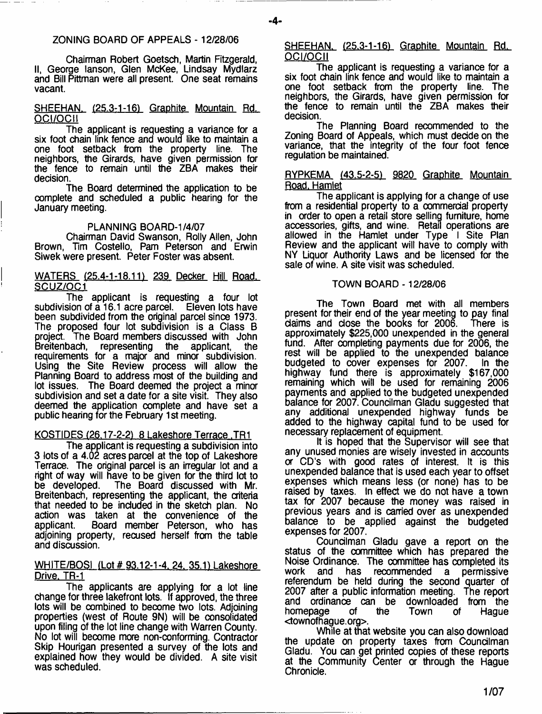#### ZONING BOARD OF APPEALS - 12/28/06

Chairman Robert Goetsch, Martin Fitzgerald, II, George lanson, Glen McKee, Lindsay Mydlarz and Bill Pittman were all present. One seat remains vacant.

#### SHEEHAN. (25.3-1-16) Graphite Mountain Rd. OCI/OCII

The applicant is requesting a variance for a six foot chain link fence and would like to maintain a one foot setback from the property line. The neighbors, the Girards, have given permission for the fence to remain until the ZBA makes their decision.

The Board determined the application to be complete and scheduled a public hearing for the January meeting.

#### PLANNING BOARD-1/4/07

Chairman David Swanson, Roily Allen, John Brown, Tim Costello, Pam Peterson and Erwin Siwek were present. Peter Foster was absent.

#### WATERS (25.4-1-18.11) 239 Decker Hill Road. SCUZ/OC1

The applicant is requesting a four lot<br>sion.of.a.16.1.acre.parcel. Eleven.lots.have subdivision of a  $16.1$  acre parcel. been subdivided from the original parcel since 1973. The proposed four lot subdivision is a Class B project. The Board members discussed with John<br>Breitenbach, representing the applicant, the representing the requirements for a major and minor subdivision. Using the Site Review process will allow the Planning Board to address most of the building and lot issues. The Board deemed the project a minor subdivision and set a date for a site visit. They also deemed the application complete and have set a public hearing for the February 1 st meeting.

#### KOSTIDES (26.17-2-2) 8 Lakeshore Terrace .TR1

The applicant is requesting a subdivision into 3 lots of a 4.02 acres parcel at the top of Lakeshore Terrace. The original parcel is an irregular lot and a right of way will have to be given for the third lot to be developed. The Board discussed with Mr. Breitenbach, representing the applicant, the criteria that needed to be included in the sketch plan. No action was taken at the convenience of the Board member Peterson, who has adjoining property, recused herself from the table and discussion.

#### WHITE/BOSI (Lot # 93.12-1-4, 24, 35.1) Lakeshore Drive. TR-1

The applicants are applying for a lot line change for three lakefront lots. If approved, the three lots will be combined to become two lots. Adjoining properties (west of Route 9N) will be consolidated upon filing of the lot line change with Warren County. No lot will become more non-conforming. Contractor Skip Hourigan presented a survey of the lots and explained how they would be divided. A site visit was scheduled.

SHEEHAN. (25.3-1-16) Graphite Mountain Rd. OCI/OCII

The applicant is requesting a variance for a six foot chain link fence and would like to maintain a one foot setback from the property line. The neighbors, the Girards, have given permission for the fence to remain until the ZBA makes their decision.

The Planning Board recommended to the Zoning Board of Appeals, which must decide on the variance, that the integrity of the four foot fence regulation be maintained.

#### RYPKEMA (43.5-2-5) 9820 Graphite Mountain Road. Hamlet

The applicant is applying for a change of use from a residential property to a commercial property in order to open a retail store selling furniture, home accessories, gifts, and wine. Retail operations are allowed in the Hamlet under Type I Site Plan Review and the applicant will have to comply with NY Liquor Authority Laws and be licensed for the sale of wine. A site visit was scheduled.

#### TOWN BOARD - 12/28/06

The Town Board met with all members present for their end of the year meeting to pay final<br>daims and close the books for 2006. There is claims and close the books for 2006. approximately \$225,000 unexpended in the general fund. After completing payments due for 2006, the rest will be applied to the unexpended balance budgeted to cover expenses for 2007. In the highway fund there is approximately \$167,000 remaining which will be used for remaining 2006 payments and applied to the budgeted unexpended balance for 2007. Councilman Gladu suggested that any additional unexpended highway funds be added to the highway capital fund to be used for necessary replacement of equipment.

It is hoped that the Supervisor will see that any unused monies are wisely invested in accounts or CD's with good rates of interest. It is this unexpended balance that is used each year to offset expenses which means less (or none) has to be raised by taxes. In effect we do not have a town tax for 2007 because the money was raised in previous years and is carried over as unexpended balance to be applied against the budgeted expenses for 2007.

Councilman Gladu gave a report on the status of the committee which has prepared the Noise Ordinance. The committee has completed its<br>work and has recommended a permissive recommended a permissive referendum be held during the second quarter of 2007 after a public information meeting. The report and ordinance can be downloaded from the<br>homepage of the Town of Haque homepage <townofhague.org>.

While at that website you can also download the update on property taxes from Councilman Gladu. You can get printed copies of these reports at the Community Center or through the Hague Chronicle.

 $-4-$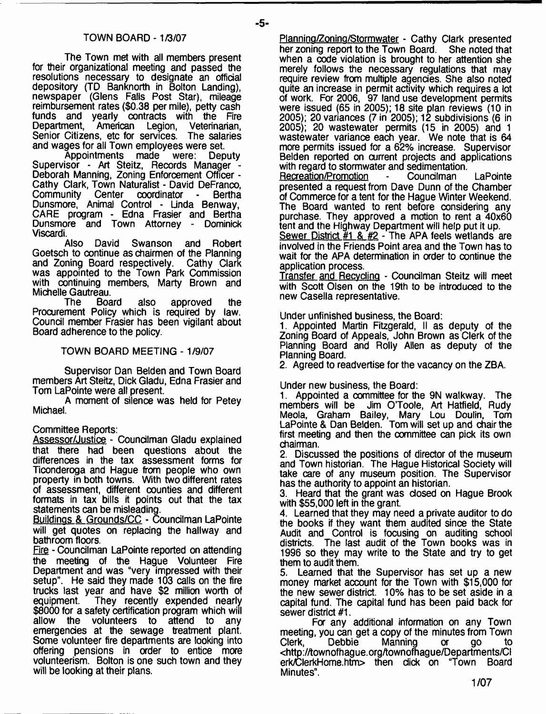The Town met with all members present for their organizational meeting and passed the resolutions necessary to designate an official depository (TD Banknorth in Bolton Landing), newspaper (Glens Falls Post Star), mileage reimbursement rates (\$0.38 per mile), petty cash funds and yearly contracts with the Fire<br>Department, American Legion, Veterinarian, Department, American Legion, Veterinarian, Senior Citizens, etc for services. The salaries Senior Citizens, etc for services.

and wages for all Town employees were set. Appointments made Supervisor - Art Steitz, Records Manager - Deborah Manning, Zoning Enforcement Officer - Cathy Clark, Town Naturalist - David DeFranco, Community Center coordinator - Bertha Dunsmore, Animal Control - Linda Benway, CARE program - Edna Frasier and Bertha Dunsmore and Town Attorney - Dominick Viseardi.

Also David Swanson and Robert Goetsch to continue as chairmen of the Planning<br>and Zoning Board respectively. Cathy Clark and Zoning Board respectively. was appointed to the Town Park Commission with continuing members, Marty Brown and Michelle Gautreau.<br>The Board

also approved the Procurement Policy which is required by law. Council member Frasier has been vigilant about Board adherence to the policy.

#### TOWN BOARD MEETING - 1/9/07

Supervisor Dan Belden and Town Board members Art Steitz, Dick Gladu, Edna Frasier and Tom LaPointe were all present.

A moment of silence was held for Petey Michael.

Committee Reports:

Assessor/Justice - Councilman Gladu explained that there had been questions about the differences in the tax assessment forms for Ticonderoga and Hague from people who own property in both towns. With two different rates of assessment, different counties and different formats in tax bills it points out that the tax statements can be misleading.

Buildings & Grounds/CC - Councilman LaPointe will get quotes on replacing the hallway and bathroom floors.

Fire - Councilman LaPointe reported on attending the meeting of the Hague Volunteer Fire Department and was "very impressed with their setup". He said they made 103 calls on the fire trucks last year and have \$2 million worth of They recently expended nearly \$8000 for a safety certification program which will allow the volunteers to attend to any emergencies at the sewage treatment plant. Some volunteer fire departments are looking into offering pensions in order to entice more volunteerism. Bolton is one such town and they will be looking at their plans.

Planning/Zoning/Stormwater - Cathy Clark presented her zoning report to the Town Board. She noted that when a code violation is brought to her attention she merely follows the necessary regulations that may require review from multiple agencies. She also noted quite an increase in permit activity which requires a lot of work. For 2006, 97 land use development permits were issued (65 in 2005); 18 site plan reviews (10 in 2005); 20 variances (7 in 2005); 12 subdivisions (6 in 2005); 20 wastewater permits (15 in 2005) and 1 wastewater variance each year. We note that is 64 more permits issued for a 62% increase. Supervisor Belden reported on current projects and applications with regard to stormwater and sedimentation.

Recreation/Promotion - Councilman LaPointe presented a request from Dave Dunn of the Chamber of Commerce for a tent for the Hague Winter Weekend. The Board wanted to rent before considering any purchase. They approved a motion to rent a 40x60 tent and the Highway Department will help put it up.

Sewer District  $#1 \& H2$  - The APA feels wetlands are involved in the Friends Point area and the Town has to wait for the APA determination in order to continue the application process.

Transfer and Recycling - Councilman Steitz will meet with Scott Olsen on the 19th to be introduced to the new Casella representative.

Under unfinished business, the Board:

1. Appointed Martin Fitzgerald, II as deputy of the Zoning Board of Appeals, John Brown as Clerk of the Planning Board and Roily Allen as deputy of the Planning Board.

2. Agreed to readvertise for the vacancy on the ZBA.

Under new business, the Board:

1. Appointed a committee for the 9N walkway. The members will be Jim O'Toole, Art Hatfield, Rudy Meola, Graham Bailey, Mary Lou Doulin, Tom LaPointe & Dan Belden. Tom will set up and chair the first meeting and then the committee can pick its own chairman.

2. Discussed the positions of director of the museum and Town historian. The Hague Historical Society will take care of any museum position. The Supervisor has the authority to appoint an historian.

3. Heard that the grant was closed on Hague Brook with \$55,000 left in the grant.

4. Learned that they may need a private auditor to do the books if they want them audited since the State Audit and Control is focusing on auditing school districts. The last audit of the Town books was in 1996 so they may write to the State and try to get them to audit them.

5. Learned that the Supervisor has set up a new money market account for the Town with \$15,000 for the new sewer district. 10% has to be set aside in a capital fund. The capital fund has been paid back for sewer district #1.

For any additional information on any Town meeting, you can get a copy of the minutes from Town<br>Clerk, Debbie Manning or go to Clerk, Debbie Manning or go <[http://townofhague.org/townofhague/Departments/CI](http://townofhague.org/townofhague/Departments/CI%e2%80%a8erk/ClerkHome.htm) [erk/ClerkHome.htm>](http://townofhague.org/townofhague/Departments/CI%e2%80%a8erk/ClerkHome.htm) then dick on "Town Board Minutes".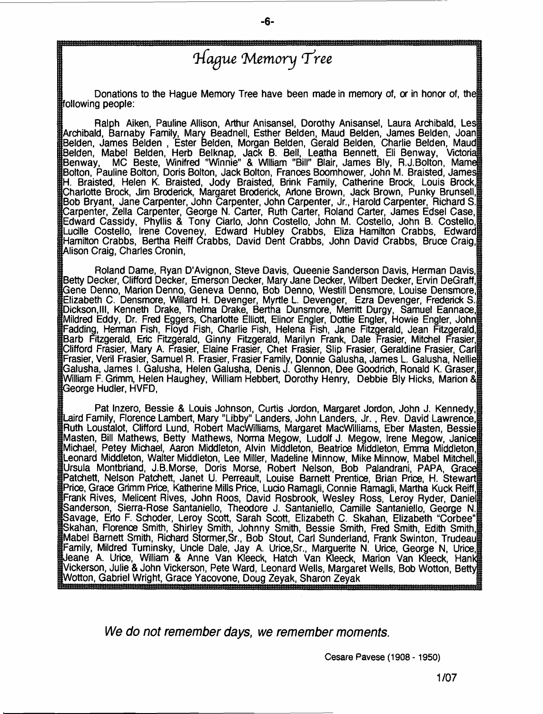### *'Hague (Memory***<sup>T</sup>** *'ree*

- **6**-

Donations to the Hague Memory Tree have been made in memory of, or in honor of, the following people:

Ralph Aiken, Pauline Allison, Arthur Anisansel, Dorothy Anisansel, Laura Archibald, Les [Archibald, Barnaby Family, Mary Beadnell, Esther Belden, Maud Belden, James Belden, Joan Belden, James Belden , Ester Belden, Morgan Belden, Gerald Belden, Charlie Belden, Maud Belden, Mabel Belden, Herb Belknap, Jack B. Bell, Leatha Bennett, Eli Benway, Victoria. Ben way, MC Beste, Winifred "Winnie" & William "Bill" Blair, James Bly, R.J. Bolton, Mam Bolton, Pauline Bolton, Doris Bolton, Jack Bolton, Frances Boomhower, John M. Braisted, James H. Braisted, Helen K. Braisted, Jody Braisted, Brink Family, Catherine Brock, Louis Brock, [Charlotte Brock, Jim Broderick, Margaret Broderick, Arlone Brown, Jack Brown, Punky Brunsell, Bob Bryant, Jane Carpenter, John Carpenter, John Carpenter, Jr., Harold Carpenter, Richard S. [Carpenter, Zella Carpenter, George N. Carter, Ruth Carter, Roland Carter, James Edsel Case, Edward Cassidy, Phyllis & Tony Ciarlo, John Costello, John M. Costello, John B. Costello, Lucille Costello, Irene Coveney, Edward Hubley Crabbs, Eliza Hamilton Crabbs, Edward Hamilton Crabbs, Bertha Reiff Crabbs, David Dent Crabbs, John David Crabbs, Bruce Craig, Alison Craig, Charles Cronin,

Roland Dame, Ryan D'Avignon, Steve Davis, Queenie Sanderson Davis, Herman Davis, Betty Decker, Clifford Decker, Emerson Decker, Mary Jane Decker, Wilbert Decker, Ervin DeGraff, [Gene Denno, Marion Denno, Geneva Denno, Bob Denno, Westill Densmore, Louise Densmore, Elizabeth C. Densmore, Willard H. Devenger, Myrtle L. Devenger, Ezra Devenger, Frederick S. Dickson,III, Kenneth Drake, Thelma Drake, Bertha Dunsmore, Merritt Durgy, Samuel Eannace, Mildred Eddy, Dr. Fred Eggers, Charlotte Elliott, Elinor Engler, Dottie Engler, Howie Engler, John Fadding, Herman Fish, Floyd Fish, Charlie Fish, Helena Fish, Jane Fitzgerald, Jean Fitzgerald, Barb Fitzgerald, Eric Fitzgerald, Ginny Fitzgerald, Marilyn Frank, Dale Frasier, Mitchel Frasier, [Clifford Frasier, Mary A. Frasier, Elaine Frasier, Chet Frasier, Slip Frasier, Geraldine Frasier, Carl Frasier, Veril Frasier, Samuel R. Frasier, Frasier Family, Donnie Galusha, James L. Galusha, Nellie [Galusha, James I. Galusha, Helen Galusha, Denis J. Glennon, Dee Goodrich, Ronald K. Graser, William F. Grimm, Helen Haughey, William Hebbert, Dorothy Henry, Debbie Bly Hicks, Marion & [George Hudler, HVFD,

Pat Inzero, Bessie & Louis Johnson, Curtis Jordon, Margaret Jordon, John J. Kennedy, Laird Family, Florence Lambert, Mary "Libby" Landers, John Landers, Jr. , Rev. David Lawrence, Ruth Loustalot, Clifford Lund, Robert MacWilliams, Margaret MacWilliams, Eber Masten, Bessie Masten, Bill Mathews, Betty Mathews, Norma Megow, Ludolf J. Megow, Irene Megow, Janice! Michael, Petey Michael, Aaron Middleton, Alvin Middleton, Beatrice Middleton, Emma Middleton, Leonard Middleton, Walter Middleton, Lee Miller, Madeline Minnow, Mike Minnow, Mabel Mitchell, Ursula Montbriand, J.B.Morse, Doris Morse, Robert Nelson, Bob Palandrani, PAPA, Grace! Patchett, Nelson Patchett, Janet U. Perreault, Louise Barnett Prentice, Brian Price, H. Stewart Price, Grace Grimm Price, Katherine Mills Price, Ludo Ramagli, Connie Ramagli, Martha Kuck Reiff, Frank Rives, Melicent Rives, John Roos, David Rosbrook, Wesley Ross, Leroy Ryder, Daniel [Sanderson, Sierra-Rose Santaniello, Theodore J. Santaniello, Camille Santaniello, George N. Savage, Erto F. Schoder, Leroy Scott, Sarah Scott, Elizabeth C. Skahan, Elizabeth "Corbee" [Skahan, Florence Smith, Shirley Smith, Johnny Smith, Bessie Smith, Fred Smith, Edith Smith, Mabel Barnett Smith, Richard Stormer.Sr., Bob Stout, Carl Sunderland, Frank Swinton, Trudeau Family, Mildred Tuminsky, Unde Dale, Jay A. Urice.Sr., Marguerite N. Urice, George N, Urice, IJeane A. Urice, William & Anne Van Kleeck, Hatch Van Kleeck, Marion Van Kleeck, Hanki Vickerson, Julie & John Vickerson, Pete Ward, Leonard Wells, Margaret Wells, Bob Wotton, Betty ttWotton, Gabriel Wright, Grace Yacovone, Doug Zeyak, Sharon Zeyak<br>™աստաստատաստատաստան

*We do not remember days, we remember moments.*

**Cesare Pavese (1908 - 1950)**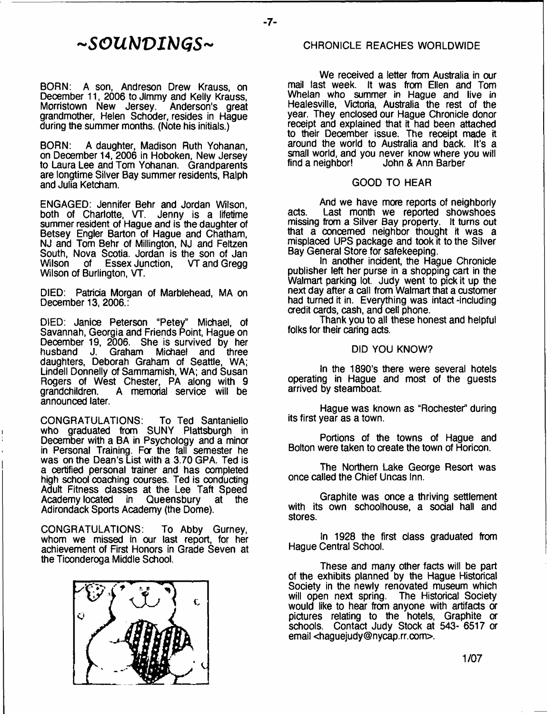# *- S O U b J V I b J G S -*

BORN: A son, Andreson Drew Krauss, on December 11, 2006 to Jimmy and Kelly Krauss,<br>Morristown New Jersey. Anderson's great Morristown New Jersey. grandmother, Helen Schoder, resides in Hague during the summer months. (Note his initials.)

BORN: A daughter, Madison Ruth Yohanan, on December 14,2006 in Hoboken, New Jersey to Laura Lee and Tom Yohanan. Grandparents are longtime Silver Bay summer residents, Ralph and Julia Ketcham.

ENGAGED: Jennifer Behr and Jordan Wilson, both of Charlotte, VT. Jenny is a lifetime summer resident of Hague and is the daughter of Betsey Engler Barton of Hague and Chatham, NJ and Tom Behr of Millington, NJ and Feltzen South, Nova Scotia. Jordan is the son of Jan<br>Wilson of Essex Junction, VT and Gregg Essex Junction, Wilson of Burlington, VT.

DIED: Patricia Morgan of Marblehead, MA on December 13, 2006.:

DIED: Janice Peterson "Petey" Michael, of Savannah, Georgia and Friends Point, Hague on December 19, 2006. She is survived by her husband J. Graham Michael and three daughters, Deborah Graham of Seattle, WA; Lindell Donnelly of Sammamish, WA; and Susan Rogers of West Chester, PA along with 9 grandchildren. A memorial service will be announced later.

CONGRATULATIONS: To Ted Santaniello who graduated from SUNY Plattsburgh in December with a BA in Psychology and a minor in Personal Training. For the fall semester he was on the Dean's List with a 3.70 GPA. Ted is a certified personal trainer and has completed high school coaching courses. Ted is conducting Adult Fitness classes at the Lee Taft Speed<br>Academy located in Queensbury at the Academy located in Queensbury Adirondack Sports Academy (the Dome).

CONGRATULATIONS: To Abby Gurney, whom we missed in our last report, for her achievement of First Honors in Grade Seven at the Ticonderoga Middle School.



#### CHRONICLE REACHES WORLDWIDE

We received a letter from Australia in our mail last week. It was from Ellen and Tom Whelan who summer in Hague and live in Healesville, Victoria, Australia the rest of the year. They enclosed our Hague Chronicle donor receipt and explained that it had been attached to their December issue. The receipt made it around the world to Australia and back. It's a small world, and you never know where you will find a neighbor! John & Ann Barber John & Ann Barber

#### GOOD TO HEAR

And we have more reports of neighborly acts. Last month we reported showshoes missing from a Silver Bay property. It turns out that a concerned neighbor thought it was a misplaced UPS package and took it to the Silver Bay General Store for safekeeping.

In another incident, the Hague Chronicle publisher left her purse in a shopping cart in the Walmart parking lot. Judy went to pick it up the next day after a call from Walmart that a customer had turned it in. Everything was intact -including aedit cards, cash, and cell phone.

Thank you to all these honest and helpful folks for their caring acts.

#### DID YOU KNOW?

In the 1890's there were several hotels operating in Hague and most of the guests arrived by steamboat.

Hague was known as "Rochester" during its first year as a town.

Portions of the towns of Hague and Bolton were taken to create the town of Horicon.

The Northern Lake George Resort was once called the Chief Uncas Inn.

Graphite was once a thriving settlement with its own schoolhouse, a social hall and stores.

In 1928 the first class graduated from Hague Central School.

These and many other facts will be part of the exhibits planned by the Hague Historical Society in the newly renovated museum which<br>will open next spring. The Historical Society The Historical Society would like to hear from anyone with artifacts or pictures relating to the hotels, Graphite or schools. Contact Judy Stock at 543- 6517 a email <[haguejudy@nycap.rr.com>](mailto:haguejudy@nycap.rr.com).

**1/07**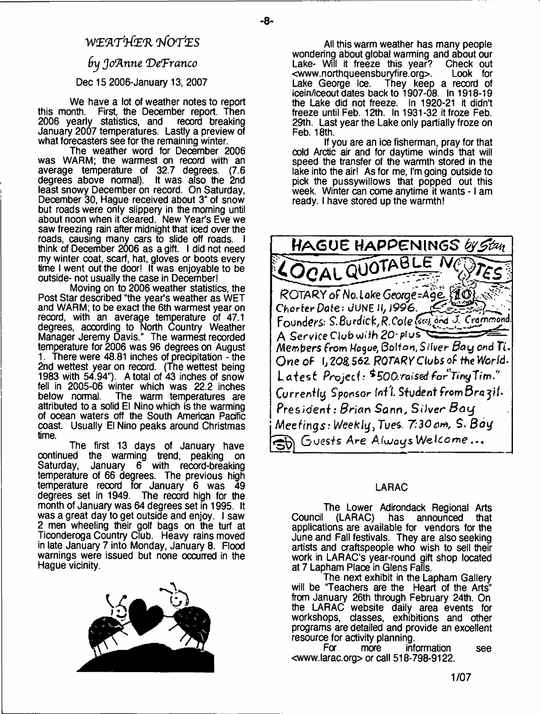## **WEflTW'E'R** *'lfOTJ'ES fry Joftnne (DeTranco*

- **8**-

#### Dec 15 2006-January 13, 2007

We have a lot of weather notes to report this month. First, the December report. Then<br>2006 yearly statistics, and record breaking 2006 yearly statistics, and January 2007 temperatures. Lastly a preview of what forecasters see for the remaining winter.

The weather word for December 2006 was WARM; the warmest on record with an average temperature of 32.7 degrees. (7.6 degrees above normal). It was also the 2nd least snowy December on record. On Saturday, December 30, Hague received about 3" of snow but roads were only slippery in the morning until about noon when it cleared. New Year's Eve we saw freezing rain after midnight that iced over the roads, causing many cars to slide off roads. think of December 2006 as a gift. I did not need my winter coat, scarf, hat, gloves or boots every time I went out the door! It was enjoyable to be outside- not usually the case in December!

Moving on to 2006 weather statistics, the Post Star described "the year's weather as WET and WARM; to be exact the 6th warmest year on record, with an average temperature of 47.1 degrees, according to North Country Weather Manager Jeremy Davis." The warmest recorded temperature for 2006 was 96 degrees on August 1. There were 48.81 inches of precipitation - the 2nd wettest year on record. (The wettest being 1983 with 54.94"). A total of 43 inches of snow fell in 2005-06 winter which was 22.2 inches The warm temperatures are attributed to a solid El Nino which is the warming of ocean waters off the South American Pacific coast. Usually El Nino peaks around Christmas time.

The first 13 days of January have continued the warming trend, peaking on Saturday, January 6 with record-breaking temperature of 66 degrees. The previous high temperature record for January 6 was 49 degrees set in 1949. The record high for the month of January was 64 degrees set in 1995. It was a great day to get outside and enjoy. I saw 2 men wheeling their golf bags on the turf at Ticonderoga Country Club. Heavy rains moved in late January 7 into Monday, January 8. Flood warnings were issued but none occurred in the Hague vicinity.



All this warm weather has many people wondering about global warming and about our<br>Lake- Will it freeze this year? Check out Lake- Will it freeze this year? Check out<br><www.northqueensburvfire.org>. Look for [<www.northqueensburyfire.org>](http://www.northqueensburyfire.org). Lake George Ice. They keep a record of icein/iceout dates back to 1907-08. In 1918-19 the Lake did not freeze. In 1920-21 it didn't freeze until Feb. 12th. In 1931-32 it froze Feb. 29th. Last year the Lake only partially froze on Feb. 18th.

If you are an ice fisherman, pray for that cold Arctic air and for daytime winds that will speed the transfer of the warmth stored in the lake into the air! As for me, I'm going outside to pick the pussywillows that popped out this week. Winter can come anytime it wants - 1 am ready. I have stored up the warmth!



### LARAC

The Lower Adirondack Regional Arts<br>Council (LARAC) has announced that  $(LARAC)$  has announced that applications are available for vendors for the June and Fall festivals. They are also seeking artists and craftspeople who wish to sell their work in LARAC's year-round gift shop located at 7 Lapham Place in Glens Falls.

The next exhibit in the Lapham Gallery will be "Teachers are the Heart of the Arts" from January 26th through February 24th. On the LARAC website daily area events for workshops, classes, exhibitions and other programs are detailed and provide an excellent resource for activity planning.<br>For more int

information see <[www.larac.org](http://www.larac.org)> or call 518-798-9122.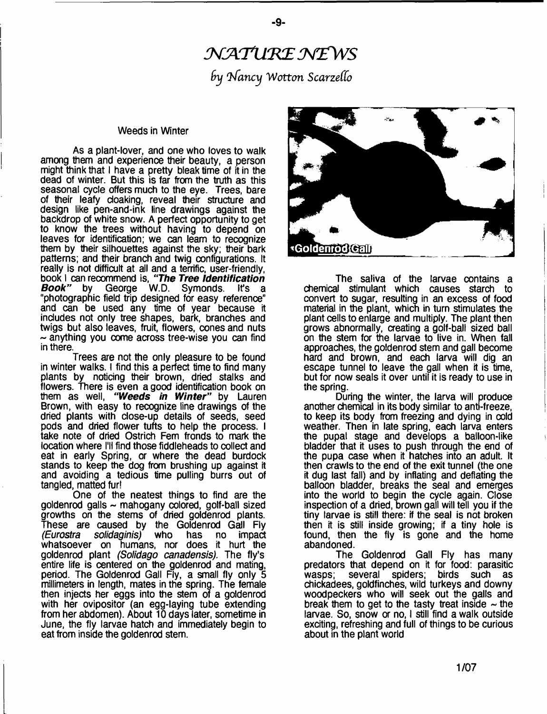# NATURE NEWS  $b$ y *Nancy* Wotton Scarzello

- **9**-

#### Weeds in Winter

As a plant-lover, and one who loves to walk among them and experience their beauty, a person might think that 1 have a pretty bleak time of it in the dead of winter. But this is far from the truth as this seasonal cycle offers much to the eye. Trees, bare of their leafy cloaking, reveal their structure and design like pen-and-ink line drawings against the backdrop of white snow. A perfect opportunity to get to know the trees without having to depend on leaves for identification; we can learn to recognize them by their silhouettes against the sky; their bark patterns; and their branch and twig configurations. It really is not difficult at all and a terrific, user-friendly, book I can recommend is, *"The Tree Identification Book"* by George W. D. Symonds. It's a "photographic field trip designed for easy reference" and can be used any time of year because it includes not only tree shapes, bark, branches and twigs but also leaves, fruit, flowers, cones and nuts  $\sim$  anything you come across tree-wise you can find in there.

Trees are not the only pleasure to be found in winter walks. I find this a perfect time to find many plants by noticing their brown, dried stalks and flowers. There is even a good identification book on them as well, *"Weeds in Winter"* by Lauren Brown, with easy to recognize line drawings of the dried plants with dose-up details of seeds, seed pods and dried flower tufts to help the process. I take note of dried Ostrich Fern fronds to mark the location where I'll find those fiddleheads to collect and eat in early Spring, or where the dead burdock stands to keep the dog from brushing up against it and avoiding a tedious time pulling burrs out of tangled, matted fur!

One of the neatest things to find are the  $g$ oldenrod galls  $\sim$  mahogany colored, golf-ball sized growths on the stems of dried goldenrod plants. These are caused by the Goldenrod Gall Fly<br>(Eurostra solidaginis) who has no impact has no impact whatsoever on humans, nor does it hurt the goldenrod plant *(Solidago canadensis).* The fly's entire life is centered on the goldenrod and mating, period. The Goldenrod Gall Fly, a small fly only 5 millimeters in length, mates in the spring. The female then injects her eggs into the stem of a goldenrod with her ovipositor (an egg-laying tube extending from her abdomen). About 10 days later, sometime in June, the fly larvae hatch and immediately begin to eat from inside the goldenrod stem.



The saliva of the larvae contains a chemical stimulant which causes starch to convert to sugar, resulting in an excess of food material in the plant, which in turn stimulates the plant cells to enlarge and multiply. The plant then grows abnormally, creating a golf-ball sized ball on the stem for the larvae to live in. When fall approaches, the goldenrod stem and gall become hard and brown, and each larva will dig an escape tunnel to leave the gall when it is time, but for now seals it over until it is ready to use in the spring.

During the winter, the larva will produce another chemical in its body similar to anti-freeze, to keep its body from freezing and dying in oold weather. Then in late spring, each larva enters frie pupal stage and develops a balloon-like bladder that it uses to push through the end of the pupa case when it hatches into an adult. It then crawls to the end of the exit tunnel (the one it dug last fall) and by inflating and deflating the balloon bladder, breaks the seal and emerges into the world to begin the cycle again. Close inspection of a dried, brown gall will tell you if the tiny larvae is still there: if the seal is not broken then it is still inside growing; if a tiny hole is found, then the fly is gone and the home abandoned.

The Goldenrod Gall Fly has many predators that depend on it for food: parasitic wasps; several spiders; birds such as chickadees, goldfinches, wild turkeys and downy woodpeckers who will seek out the galls and break them to get to the tasty treat inside  $\sim$  the larvae. So, snow or no, I still find a walk outside exciting, refreshing and full of things to be curious about in the plant world